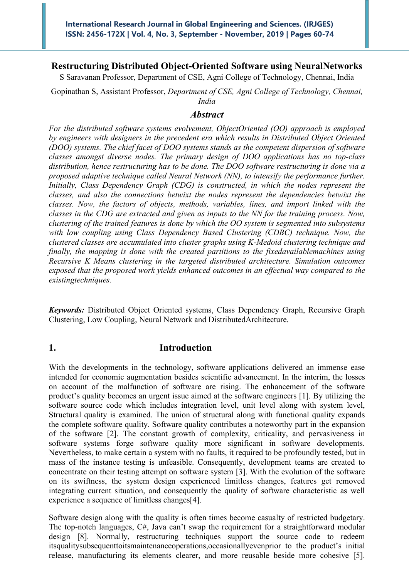# **Restructuring Distributed Object-Oriented Software using NeuralNetworks**

S Saravanan Professor, Department of CSE, Agni College of Technology, Chennai, India

Gopinathan S, Assistant Professor, *Department of CSE, Agni College of Technology, Chennai, India*

## *Abstract*

*For the distributed software systems evolvement, ObjectOriented (OO) approach is employed by engineers with designers in the precedent era which results in Distributed Object Oriented (DOO) systems. The chief facet of DOO systems stands as the competent dispersion of software classes amongst diverse nodes. The primary design of DOO applications has no top-class distribution, hence restructuring has to be done. The DOO software restructuring is done via a proposed adaptive technique called Neural Network (NN), to intensify the performance further. Initially, Class Dependency Graph (CDG) is constructed, in which the nodes represent the classes, and also the connections betwixt the nodes represent the dependencies betwixt the classes. Now, the factors of objects, methods, variables, lines, and import linked with the classes in the CDG are extracted and given as inputs to the NN for the training process. Now, clustering of the trained features is done by which the OO system is segmented into subsystems*  with low coupling using Class Dependency Based Clustering (CDBC) technique. Now, the *clustered classes are accumulated into cluster graphs using K-Medoid clustering technique and finally, the mapping is done with the created partitions to the fixedavailablemachines using Recursive K Means clustering in the targeted distributed architecture. Simulation outcomes exposed that the proposed work yields enhanced outcomes in an effectual way compared to the existingtechniques.*

*Keywords:* Distributed Object Oriented systems, Class Dependency Graph, Recursive Graph Clustering, Low Coupling, Neural Network and DistributedArchitecture.

# **1. Introduction**

With the developments in the technology, software applications delivered an immense ease intended for economic augmentation besides scientific advancement. In the interim, the losses on account of the malfunction of software are rising. The enhancement of the software product's quality becomes an urgent issue aimed at the software engineers [1]. By utilizing the software source code which includes integration level, unit level along with system level, Structural quality is examined. The union of structural along with functional quality expands the complete software quality. Software quality contributes a noteworthy part in the expansion of the software [2]. The constant growth of complexity, criticality, and pervasiveness in software systems forge software quality more significant in software developments. Nevertheless, to make certain a system with no faults, it required to be profoundly tested, but in mass of the instance testing is unfeasible. Consequently, development teams are created to concentrate on their testing attempt on software system [3]. With the evolution of the software on its swiftness, the system design experienced limitless changes, features get removed integrating current situation, and consequently the quality of software characteristic as well experience a sequence of limitless changes[4].

Software design along with the quality is often times become casualty of restricted budgetary. The top-notch languages, C#, Java can't swap the requirement for a straightforward modular design [8]. Normally, restructuring techniques support the source code to redeem itsqualitysubsequenttoitsmaintenanceoperations,occasionallyevenprior to the product's initial release, manufacturing its elements clearer, and more reusable beside more cohesive [5].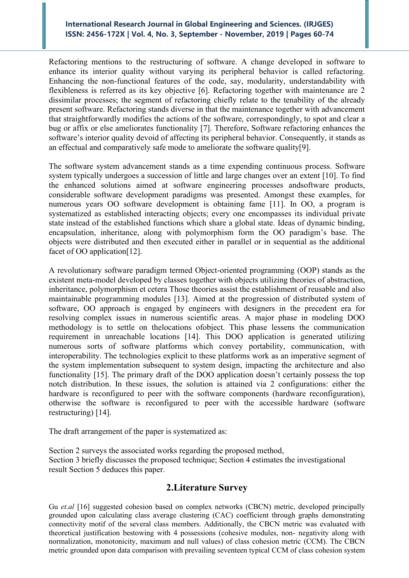Refactoring mentions to the restructuring of software. A change developed in software to enhance its interior quality without varying its peripheral behavior is called refactoring. Enhancing the non-functional features of the code, say, modularity, understandability with flexibleness is referred as its key objective [6]. Refactoring together with maintenance are 2 dissimilar processes; the segment of refactoring chiefly relate to the tenability of the already present software. Refactoring stands diverse in that the maintenance together with advancement that straightforwardly modifies the actions of the software, correspondingly, to spot and clear a bug or affix or else ameliorates functionality [7]. Therefore, Software refactoring enhances the software's interior quality devoid of affecting its peripheral behavior. Consequently, it stands as an effectual and comparatively safe mode to ameliorate the software quality[9].

The software system advancement stands as a time expending continuous process. Software system typically undergoes a succession of little and large changes over an extent [10]. To find the enhanced solutions aimed at software engineering processes andsoftware products, considerable software development paradigms was presented. Amongst these examples, for numerous years OO software development is obtaining fame [11]. In OO, a program is systematized as established interacting objects; every one encompasses its individual private state instead of the established functions which share a global state. Ideas of dynamic binding, encapsulation, inheritance, along with polymorphism form the OO paradigm's base. The objects were distributed and then executed either in parallel or in sequential as the additional facet of OO application[12].

A revolutionary software paradigm termed Object-oriented programming (OOP) stands as the existent meta-model developed by classes together with objects utilizing theories of abstraction, inheritance, polymorphism et cetera Those theories assist the establishment of reusable and also maintainable programming modules [13]. Aimed at the progression of distributed system of software, OO approach is engaged by engineers with designers in the precedent era for resolving complex issues in numerous scientific areas. A major phase in modeling DOO methodology is to settle on thelocations ofobject. This phase lessens the communication requirement in unreachable locations [14]. This DOO application is generated utilizing numerous sorts of software platforms which convey portability, communication, with interoperability. The technologies explicit to these platforms work as an imperative segment of the system implementation subsequent to system design, impacting the architecture and also functionality [15]. The primary draft of the DOO application doesn't certainly possess the top notch distribution. In these issues, the solution is attained via 2 configurations: either the hardware is reconfigured to peer with the software components (hardware reconfiguration), otherwise the software is reconfigured to peer with the accessible hardware (software restructuring) [14].

The draft arrangement of the paper is systematized as:

Section 2 surveys the associated works regarding the proposed method, Section 3 briefly discusses the proposed technique; Section 4 estimates the investigational result Section 5 deduces this paper.

## **2.Literature Survey**

Gu *et.al* [16] suggested cohesion based on complex networks (CBCN) metric, developed principally grounded upon calculating class average clustering (CAC) coefficient through graphs demonstrating connectivity motif of the several class members. Additionally, the CBCN metric was evaluated with theoretical justification bestowing with 4 possessions (cohesive modules, non- negativity along with normalization, monotonicity, maximum and null values) of class cohesion metric (CCM). The CBCN metric grounded upon data comparison with prevailing seventeen typical CCM of class cohesion system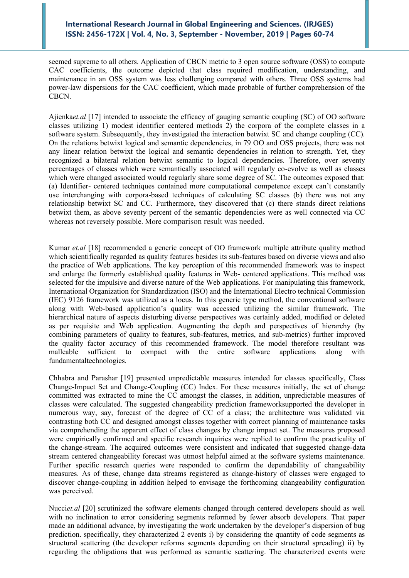seemed supreme to all others. Application of CBCN metric to 3 open source software (OSS) to compute CAC coefficients, the outcome depicted that class required modification, understanding, and maintenance in an OSS system was less challenging compared with others. Three OSS systems had power-law dispersions for the CAC coefficient, which made probable of further comprehension of the CBCN.

Ajienka*et.al* [17] intended to associate the efficacy of gauging semantic coupling (SC) of OO software classes utilizing 1) modest identifier centered methods 2) the corpora of the complete classes in a software system. Subsequently, they investigated the interaction betwixt SC and change coupling (CC). On the relations betwixt logical and semantic dependencies, in 79 OO and OSS projects, there was not any linear relation betwixt the logical and semantic dependencies in relation to strength. Yet, they recognized a bilateral relation betwixt semantic to logical dependencies. Therefore, over seventy percentages of classes which were semantically associated will regularly co-evolve as well as classes which were changed associated would regularly share some degree of SC. The outcomes exposed that: (a) Identifier- centered techniques contained more computational competence except can't constantly use interchanging with corpora-based techniques of calculating SC classes (b) there was not any relationship betwixt SC and CC. Furthermore, they discovered that (c) there stands direct relations betwixt them, as above seventy percent of the semantic dependencies were as well connected via CC whereas not reversely possible. More comparison result was needed.

Kumar *et.al* [18] recommended a generic concept of OO framework multiple attribute quality method which scientifically regarded as quality features besides its sub-features based on diverse views and also the practice of Web applications. The key perception of this recommended framework was to inspect and enlarge the formerly established quality features in Web- centered applications. This method was selected for the impulsive and diverse nature of the Web applications. For manipulating this framework, International Organization for Standardization (ISO) and the International Electro technical Commission (IEC) 9126 framework was utilized as a locus. In this generic type method, the conventional software along with Web-based application's quality was accessed utilizing the similar framework. The hierarchical nature of aspects disturbing diverse perspectives was certainly added, modified or deleted as per requisite and Web application. Augmenting the depth and perspectives of hierarchy (by combining parameters of quality to features, sub-features, metrics, and sub-metrics) further improved the quality factor accuracy of this recommended framework. The model therefore resultant was malleable sufficient to compact with the entire software applications along with fundamentaltechnologies.

Chhabra and Parashar [19] presented unpredictable measures intended for classes specifically, Class Change-Impact Set and Change-Coupling (CC) Index. For these measures initially, the set of change committed was extracted to mine the CC amongst the classes, in addition, unpredictable measures of classes were calculated. The suggested changeability prediction frameworksupported the developer in numerous way, say, forecast of the degree of CC of a class; the architecture was validated via contrasting both CC and designed amongst classes together with correct planning of maintenance tasks via comprehending the apparent effect of class changes by change impact set. The measures proposed were empirically confirmed and specific research inquiries were replied to confirm the practicality of the change-stream. The acquired outcomes were consistent and indicated that suggested change-data stream centered changeability forecast was utmost helpful aimed at the software systems maintenance. Further specific research queries were responded to confirm the dependability of changeability measures. As of these, change data streams registered as change-history of classes were engaged to discover change-coupling in addition helped to envisage the forthcoming changeability configuration was perceived.

Nucci*et.al* [20] scrutinized the software elements changed through centered developers should as well with no inclination to error considering segments reformed by fewer absorb developers. That paper made an additional advance, by investigating the work undertaken by the developer's dispersion of bug prediction. specifically, they characterized 2 events i) by considering the quantity of code segments as structural scattering (the developer reforms segments depending on their structural spreading) ii) by regarding the obligations that was performed as semantic scattering. The characterized events were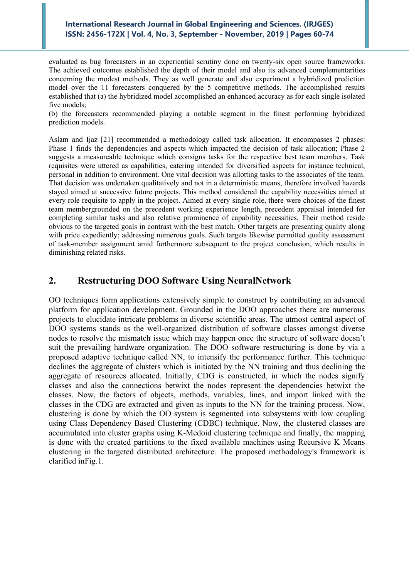evaluated as bug forecasters in an experiential scrutiny done on twenty-six open source frameworks. The achieved outcomes established the depth of their model and also its advanced complementarities concerning the modest methods. They as well generate and also experiment a hybridized prediction model over the 11 forecasters conquered by the 5 competitive methods. The accomplished results established that (a) the hybridized model accomplished an enhanced accuracy as for each single isolated five models;

(b) the forecasters recommended playing a notable segment in the finest performing hybridized prediction models.

Aslam and Ijaz [21] recommended a methodology called task allocation. It encompasses 2 phases: Phase 1 finds the dependencies and aspects which impacted the decision of task allocation; Phase 2 suggests a measureable technique which consigns tasks for the respective best team members. Task requisites were uttered as capabilities, catering intended for diversified aspects for instance technical, personal in addition to environment. One vital decision was allotting tasks to the associates of the team. That decision was undertaken qualitatively and not in a deterministic means, therefore involved hazards stayed aimed at successive future projects. This method considered the capability necessities aimed at every role requisite to apply in the project. Aimed at every single role, there were choices of the finest team membergrounded on the precedent working experience length, precedent appraisal intended for completing similar tasks and also relative prominence of capability necessities. Their method reside obvious to the targeted goals in contrast with the best match. Other targets are presenting quality along with price expediently; addressing numerous goals. Such targets likewise permitted quality assessment of task-member assignment amid furthermore subsequent to the project conclusion, which results in diminishing related risks.

# **2. Restructuring DOO Software Using NeuralNetwork**

OO techniques form applications extensively simple to construct by contributing an advanced platform for application development. Grounded in the DOO approaches there are numerous projects to elucidate intricate problems in diverse scientific areas. The utmost central aspect of DOO systems stands as the well-organized distribution of software classes amongst diverse nodes to resolve the mismatch issue which may happen once the structure of software doesn't suit the prevailing hardware organization. The DOO software restructuring is done by via a proposed adaptive technique called NN, to intensify the performance further. This technique declines the aggregate of clusters which is initiated by the NN training and thus declining the aggregate of resources allocated. Initially, CDG is constructed, in which the nodes signify classes and also the connections betwixt the nodes represent the dependencies betwixt the classes. Now, the factors of objects, methods, variables, lines, and import linked with the classes in the CDG are extracted and given as inputs to the NN for the training process. Now, clustering is done by which the OO system is segmented into subsystems with low coupling using Class Dependency Based Clustering (CDBC) technique. Now, the clustered classes are accumulated into cluster graphs using K-Medoid clustering technique and finally, the mapping is done with the created partitions to the fixed available machines using Recursive K Means clustering in the targeted distributed architecture. The proposed methodology's framework is clarified inFig.1.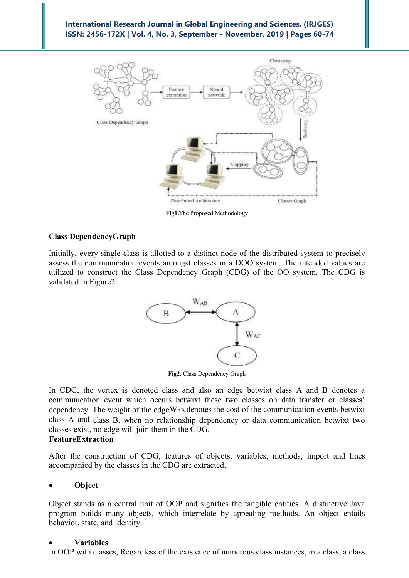

**Fig1.**The Proposed Methodology

## **Class DependencyGraph**

Initially, every single class is allotted to a distinct node of the distributed system to precisely assess the communication events amongst classes in a DOO system. The intended values are utilized to construct the Class Dependency Graph (CDG) of the OO system. The CDG is validated in Figure2.



**Fig2.** Class Dependency Graph

In CDG, the vertex is denoted class and also an edge betwixt class A and B denotes a communication event which occurs betwixt these two classes on data transfer or classes' dependency. The weight of the edgeWAB denotes the cost of the communication events betwixt class A and class B. when no relationship dependency or data communication betwixt two classes exist, no edge will join them in the CDG.

## **FeatureExtraction**

After the construction of CDG, features of objects, variables, methods, import and lines accompanied by the classes in the CDG are extracted.

#### • **Object**

Object stands as a central unit of OOP and signifies the tangible entities. A distinctive Java program builds many objects, which interrelate by appealing methods. An object entails behavior, state, and identity.

#### • **Variables**

In OOP with classes, Regardless of the existence of numerous class instances, in a class, a class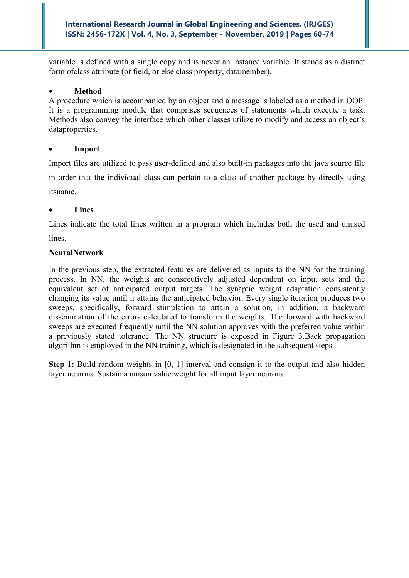variable is defined with a single copy and is never an instance variable. It stands as a distinct form ofclass attribute (or field, or else class property, datamember).

## • **Method**

A procedure which is accompanied by an object and a message is labeled as a method in OOP. It is a programming module that comprises sequences of statements which execute a task. Methods also convey the interface which other classes utilize to modify and access an object's dataproperties.

## • **Import**

Import files are utilized to pass user-defined and also built-in packages into the java source file in order that the individual class can pertain to a class of another package by directly using itsname.

## • **Lines**

Lines indicate the total lines written in a program which includes both the used and unused lines.

## **NeuralNetwork**

In the previous step, the extracted features are delivered as inputs to the NN for the training process. In NN, the weights are consecutively adjusted dependent on input sets and the equivalent set of anticipated output targets. The synaptic weight adaptation consistently changing its value until it attains the anticipated behavior. Every single iteration produces two sweeps, specifically, forward stimulation to attain a solution, in addition, a backward dissemination of the errors calculated to transform the weights. The forward with backward sweeps are executed frequently until the NN solution approves with the preferred value within a previously stated tolerance. The NN structure is exposed in Figure 3.Back propagation algorithm is employed in the NN training, which is designated in the subsequent steps.

**Step 1:** Build random weights in [0, 1] interval and consign it to the output and also hidden layer neurons. Sustain a unison value weight for all input layer neurons.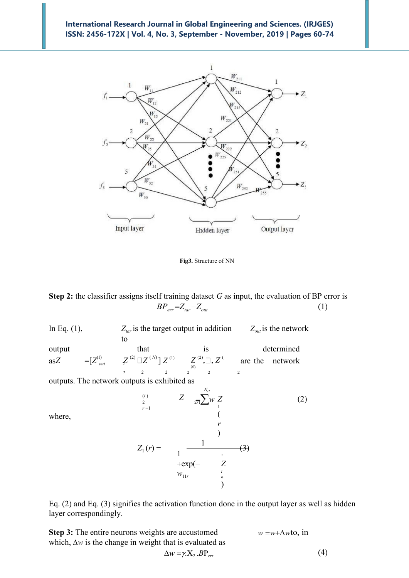

**Fig3.** Structure of NN

**Step 2:** the classifier assigns itself training dataset *G* as input, the evaluation of BP error is  $BP_{err} = Z_{tar} - Z_{out}$  (1)

as*Z* =  $[Z_{out}^{(1)}$   $Z_{out}^{(2)}$ 2 2 2 2 2  $\sqrt{\overline{r}}$ *x*<sup>*w*</sup> In Eq. (1),  $Z_{tar}$  is the target output in addition  $Z_{out}$  is the network to output that is determined  $\{Z^{(2)} \, \Box \, Z^{(N)}\} \, Z^{(1)}$ ,  $Z^{(2)}, \Box, Z^{(1)}$ are the network outputs. The network outputs is exhibited as *N<sup>H</sup>* where, (*l* )  $\sum_{2}^{(l)}$   $Z = \frac{1}{2l} \sum_{i=1}^{l} w_i Z_i$  $\frac{2}{r}$  =1 1 ( *r* ) (2)  $Z_1(r) =$ 1 1 +exp(−  $W_{11r}$  $\frac{1}{\sqrt{2}}$ *Z i n* )  $-$ (3) *Z*

Eq. (2) and Eq. (3) signifies the activation function done in the output layer as well as hidden layer correspondingly.

**Step 3:** The entire neurons weights are accustomed which,  $\Delta w$  is the change in weight that is evaluated as  $w = w + \Lambda w$ to, in

$$
\pi \Delta w \mathbf{10}, \, \mathbf{m}
$$

$$
\Delta w = \gamma X_2 . BP_{\text{err}}
$$

(4)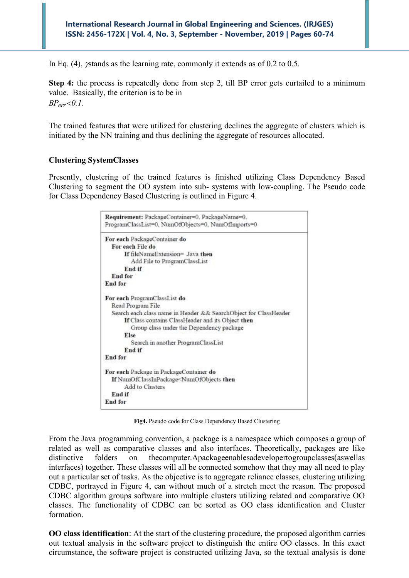In Eq. (4), *y* stands as the learning rate, commonly it extends as of 0.2 to 0.5.

**Step 4:** the process is repeatedly done from step 2, till BP error gets curtailed to a minimum value. Basically, the criterion is to be in *BPerr 0.1*.

The trained features that were utilized for clustering declines the aggregate of clusters which is initiated by the NN training and thus declining the aggregate of resources allocated.

#### **Clustering SystemClasses**

Presently, clustering of the trained features is finished utilizing Class Dependency Based Clustering to segment the OO system into sub- systems with low-coupling. The Pseudo code for Class Dependency Based Clustering is outlined in Figure 4.

| Requirement: PackageContainer=0, PackageName=0,<br>ProgramClassList=0, NumOfObjects=0, NumOfImports=0 |  |
|-------------------------------------------------------------------------------------------------------|--|
| For each PackageContainer do                                                                          |  |
| For each File do                                                                                      |  |
| If fileNameExtension= Java then                                                                       |  |
| Add File to ProgramClassList                                                                          |  |
| End if                                                                                                |  |
| End for                                                                                               |  |
| End for                                                                                               |  |
| For each ProgramClassList do                                                                          |  |
| Read Program File                                                                                     |  |
| Search each class name in Header && SearchObject for ClassHeader                                      |  |
| If Class contains ClassHeader and its Object then                                                     |  |
| Group class under the Dependency package                                                              |  |
| Else                                                                                                  |  |
| Search in another ProgramClassList                                                                    |  |
| End if                                                                                                |  |
| End for                                                                                               |  |
| For each Package in PackageContainer do                                                               |  |
| If NumOfClassInPackage <numofobjects td="" then<=""><td></td></numofobjects>                          |  |
| Add to Clusters                                                                                       |  |
| End if                                                                                                |  |
| End for                                                                                               |  |

**Fig4.** Pseudo code for Class Dependency Based Clustering

From the Java programming convention, a package is a namespace which composes a group of related as well as comparative classes and also interfaces. Theoretically, packages are like distinctive folders on thecomputer.Apackageenablesadevelopertogroupclasses(aswellas interfaces) together. These classes will all be connected somehow that they may all need to play out a particular set of tasks. As the objective is to aggregate reliance classes, clustering utilizing CDBC, portrayed in Figure 4, can without much of a stretch meet the reason. The proposed CDBC algorithm groups software into multiple clusters utilizing related and comparative OO classes. The functionality of CDBC can be sorted as OO class identification and Cluster formation.

**OO class identification**: At the start of the clustering procedure, the proposed algorithm carries out textual analysis in the software project to distinguish the entire OO classes. In this exact circumstance, the software project is constructed utilizing Java, so the textual analysis is done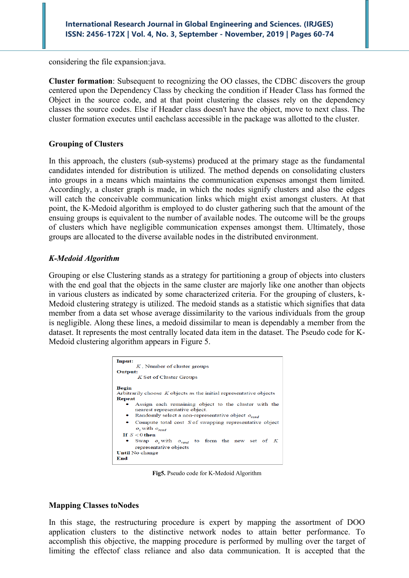considering the file expansion:java.

**Cluster formation**: Subsequent to recognizing the OO classes, the CDBC discovers the group centered upon the Dependency Class by checking the condition if Header Class has formed the Object in the source code, and at that point clustering the classes rely on the dependency classes the source codes. Else if Header class doesn't have the object, move to next class. The cluster formation executes until eachclass accessible in the package was allotted to the cluster.

## **Grouping of Clusters**

In this approach, the clusters (sub-systems) produced at the primary stage as the fundamental candidates intended for distribution is utilized. The method depends on consolidating clusters into groups in a means which maintains the communication expenses amongst them limited. Accordingly, a cluster graph is made, in which the nodes signify clusters and also the edges will catch the conceivable communication links which might exist amongst clusters. At that point, the K-Medoid algorithm is employed to do cluster gathering such that the amount of the ensuing groups is equivalent to the number of available nodes. The outcome will be the groups of clusters which have negligible communication expenses amongst them. Ultimately, those groups are allocated to the diverse available nodes in the distributed environment.

## *K-Medoid Algorithm*

Grouping or else Clustering stands as a strategy for partitioning a group of objects into clusters with the end goal that the objects in the same cluster are majorly like one another than objects in various clusters as indicated by some characterized criteria. For the grouping of clusters, k-Medoid clustering strategy is utilized. The medoid stands as a statistic which signifies that data member from a data set whose average dissimilarity to the various individuals from the group is negligible. Along these lines, a medoid dissimilar to mean is dependably a member from the dataset. It represents the most centrally located data item in the dataset. The Pseudo code for K-Medoid clustering algorithm appears in Figure 5.



**Fig5.** Pseudo code for K-Medoid Algorithm

#### **Mapping Classes toNodes**

In this stage, the restructuring procedure is expert by mapping the assortment of DOO application clusters to the distinctive network nodes to attain better performance. To accomplish this objective, the mapping procedure is performed by mulling over the target of limiting the effectof class reliance and also data communication. It is accepted that the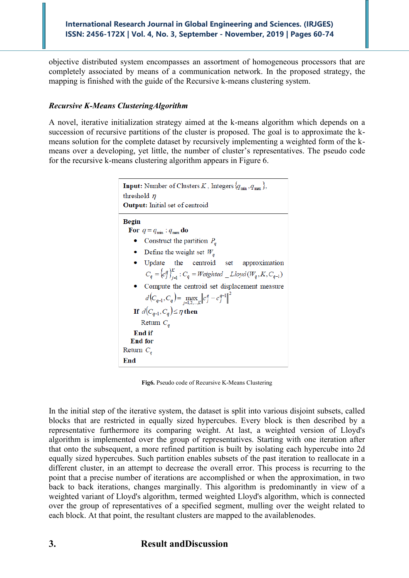objective distributed system encompasses an assortment of homogeneous processors that are completely associated by means of a communication network. In the proposed strategy, the mapping is finished with the guide of the Recursive k-means clustering system.

## *Recursive K-Means ClusteringAlgorithm*

A novel, iterative initialization strategy aimed at the k-means algorithm which depends on a succession of recursive partitions of the cluster is proposed. The goal is to approximate the kmeans solution for the complete dataset by recursively implementing a weighted form of the kmeans over a developing, yet little, the number of cluster's representatives. The pseudo code for the recursive k-means clustering algorithm appears in Figure 6.

```
\textbf{Input: Number of Clusters}\, \textit{K}\,,\, \text{Integers}\, \{\textit{q}_\text{min}\,,\textit{q}_\text{max}\,\},threshold \etaOutput: Initial set of centroid
Begin
  For q = q_{min} : q_{max} do
    • Construct the partition P_a• Define the weight set W_q\bullet Update the centroid set approximation
         C_q = {c_q^q}_{j=1}^K : C_q = Weighted\_Lloyd(W_q, K, C_{q-1})• Compute the centroid set displacement measure
         d(C_{q-1}, C_q) = \max_{j=1,2,...,K} ||c_j^q - c_j^{q-1}||^2If d(C_{q-1}, C_q) \leq \eta then
     Return C_aEnd if
  End for
Return C_aEnd
```
**Fig6.** Pseudo code of Recursive K-Means Clustering

In the initial step of the iterative system, the dataset is split into various disjoint subsets, called blocks that are restricted in equally sized hypercubes. Every block is then described by a representative furthermore its comparing weight. At last, a weighted version of Lloyd's algorithm is implemented over the group of representatives. Starting with one iteration after that onto the subsequent, a more refined partition is built by isolating each hypercube into 2d equally sized hypercubes. Such partition enables subsets of the past iteration to reallocate in a different cluster, in an attempt to decrease the overall error. This process is recurring to the point that a precise number of iterations are accomplished or when the approximation, in two back to back iterations, changes marginally. This algorithm is predominantly in view of a weighted variant of Lloyd's algorithm, termed weighted Lloyd's algorithm, which is connected over the group of representatives of a specified segment, mulling over the weight related to each block. At that point, the resultant clusters are mapped to the availablenodes.

# **3. Result andDiscussion**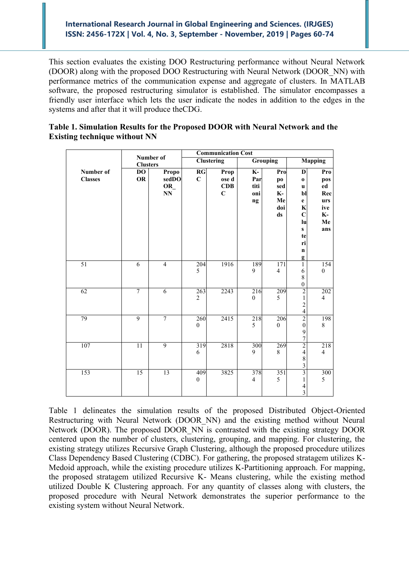This section evaluates the existing DOO Restructuring performance without Neural Network (DOOR) along with the proposed DOO Restructuring with Neural Network (DOOR\_NN) with performance metrics of the communication expense and aggregate of clusters. In MATLAB software, the proposed restructuring simulator is established. The simulator encompasses a friendly user interface which lets the user indicate the nodes in addition to the edges in the systems and after that it will produce theCDG.

|                             | Number of<br><b>Clusters</b> |                                                 | <b>Communication Cost</b> |                                        |                                                       |                                                  |                                                                                                                                       |                                                                 |
|-----------------------------|------------------------------|-------------------------------------------------|---------------------------|----------------------------------------|-------------------------------------------------------|--------------------------------------------------|---------------------------------------------------------------------------------------------------------------------------------------|-----------------------------------------------------------------|
|                             |                              |                                                 | <b>Clustering</b>         |                                        | <b>Grouping</b>                                       |                                                  | <b>Mapping</b>                                                                                                                        |                                                                 |
| Number of<br><b>Classes</b> | <b>DO</b><br><b>OR</b>       | Propo<br>sedDO<br>OR_<br>$\mathbf{N}\mathbf{N}$ | RG<br>$\mathbf C$         | Prop<br>ose d<br>CDB<br>$\overline{C}$ | $\overline{\mathbf{K}}$ -<br>Par<br>titi<br>oni<br>ng | Pro<br>po<br>sed<br><b>K-</b><br>Me<br>doi<br>ds | D<br>$\mathbf 0$<br>$\mathbf u$<br>bl<br>$\mathbf{e}$<br>$\bf K$<br>$\mathbf C$<br>lu<br>$\mathbf{s}$<br>te<br>ri<br>$\mathbf n$<br>g | Pro<br>pos<br>ed<br>Rec<br>urs<br>ive<br><b>K-</b><br>Me<br>ans |
| 51                          | $\overline{6}$               | $\overline{4}$                                  | 204<br>5                  | 1916                                   | 189<br>9                                              | 171<br>$\overline{4}$                            | $\mathbf{1}$<br>$\sqrt{6}$<br>$\,8\,$<br>$\boldsymbol{0}$                                                                             | 154<br>$\boldsymbol{0}$                                         |
| 62                          | 7                            | $\overline{6}$                                  | 263<br>$\overline{2}$     | 2243                                   | 216<br>$\boldsymbol{0}$                               | 209<br>5                                         | $\overline{2}$<br>$\,1$<br>$\frac{2}{4}$                                                                                              | 202<br>$\overline{4}$                                           |
| 79                          | $\overline{9}$               | $\overline{7}$                                  | 260<br>$\mathbf{0}$       | 2415                                   | 218<br>5                                              | 206<br>$\theta$                                  | $\boldsymbol{0}$<br>$\frac{9}{7}$                                                                                                     | 198<br>8                                                        |
| 107                         | 11                           | 9                                               | 319<br>6                  | 2818                                   | 300<br>9                                              | 269<br>8                                         | $\overline{2}$<br>$\overline{4}$<br>$\begin{array}{c} 8 \\ 3 \end{array}$                                                             | 218<br>$\overline{\mathbf{4}}$                                  |
| 153                         | 15                           | 13                                              | 409<br>$\boldsymbol{0}$   | 3825                                   | 378<br>$\overline{4}$                                 | 351<br>5                                         | $\overline{\mathbf{3}}$<br>$\,1$<br>$\frac{4}{3}$                                                                                     | 300<br>5                                                        |

# **Table 1. Simulation Results for the Proposed DOOR with Neural Network and the Existing technique without NN**

Table 1 delineates the simulation results of the proposed Distributed Object-Oriented Restructuring with Neural Network (DOOR\_NN) and the existing method without Neural Network (DOOR). The proposed DOOR NN is contrasted with the existing strategy DOOR centered upon the number of clusters, clustering, grouping, and mapping. For clustering, the existing strategy utilizes Recursive Graph Clustering, although the proposed procedure utilizes Class Dependency Based Clustering (CDBC). For gathering, the proposed stratagem utilizes K-Medoid approach, while the existing procedure utilizes K-Partitioning approach. For mapping, the proposed stratagem utilized Recursive K- Means clustering, while the existing method utilized Double K Clustering approach. For any quantity of classes along with clusters, the proposed procedure with Neural Network demonstrates the superior performance to the existing system without Neural Network.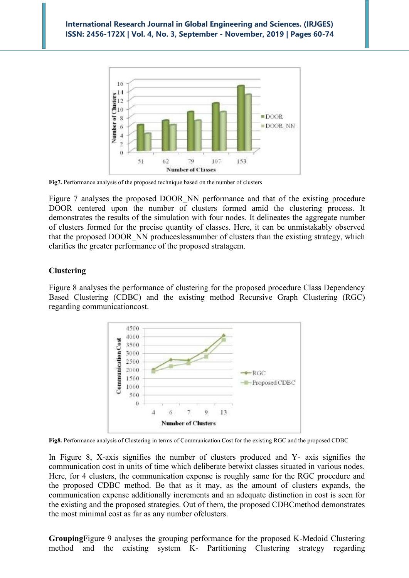

**Fig7.** Performance analysis of the proposed technique based on the number of clusters

Figure 7 analyses the proposed DOOR NN performance and that of the existing procedure DOOR centered upon the number of clusters formed amid the clustering process. It demonstrates the results of the simulation with four nodes. It delineates the aggregate number of clusters formed for the precise quantity of classes. Here, it can be unmistakably observed that the proposed DOOR\_NN produceslessnumber of clusters than the existing strategy, which clarifies the greater performance of the proposed stratagem.

#### **Clustering**

Figure 8 analyses the performance of clustering for the proposed procedure Class Dependency Based Clustering (CDBC) and the existing method Recursive Graph Clustering (RGC) regarding communicationcost.



**Fig8.** Performance analysis of Clustering in terms of Communication Cost for the existing RGC and the proposed CDBC

In Figure 8, X-axis signifies the number of clusters produced and Y- axis signifies the communication cost in units of time which deliberate betwixt classes situated in various nodes. Here, for 4 clusters, the communication expense is roughly same for the RGC procedure and the proposed CDBC method. Be that as it may, as the amount of clusters expands, the communication expense additionally increments and an adequate distinction in cost is seen for the existing and the proposed strategies. Out of them, the proposed CDBCmethod demonstrates the most minimal cost as far as any number ofclusters.

**Grouping**Figure 9 analyses the grouping performance for the proposed K-Medoid Clustering method and the existing system K- Partitioning Clustering strategy regarding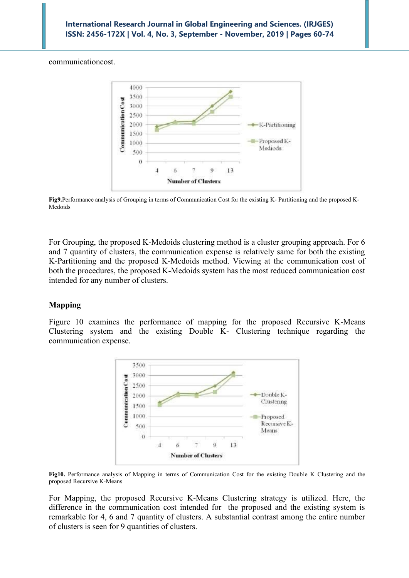communicationcost.



**Fig9.**Performance analysis of Grouping in terms of Communication Cost for the existing K- Partitioning and the proposed K-Medoids

For Grouping, the proposed K-Medoids clustering method is a cluster grouping approach. For 6 and 7 quantity of clusters, the communication expense is relatively same for both the existing K-Partitioning and the proposed K-Medoids method. Viewing at the communication cost of both the procedures, the proposed K-Medoids system has the most reduced communication cost intended for any number of clusters.

## **Mapping**

Figure 10 examines the performance of mapping for the proposed Recursive K-Means Clustering system and the existing Double K- Clustering technique regarding the communication expense.



**Fig10.** Performance analysis of Mapping in terms of Communication Cost for the existing Double K Clustering and the proposed Recursive K-Means

For Mapping, the proposed Recursive K-Means Clustering strategy is utilized. Here, the difference in the communication cost intended for the proposed and the existing system is remarkable for 4, 6 and 7 quantity of clusters. A substantial contrast among the entire number of clusters is seen for 9 quantities of clusters.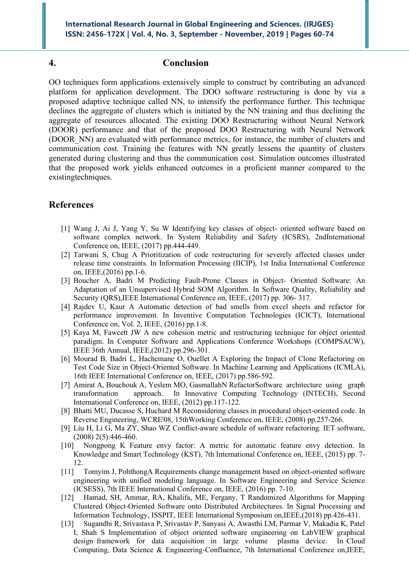#### **4. Conclusion**

OO techniques form applications extensively simple to construct by contributing an advanced platform for application development. The DOO software restructuring is done by via a proposed adaptive technique called NN, to intensify the performance further. This technique declines the aggregate of clusters which is initiated by the NN training and thus declining the aggregate of resources allocated. The existing DOO Restructuring without Neural Network (DOOR) performance and that of the proposed DOO Restructuring with Neural Network (DOOR\_NN) are evaluated with performance metrics, for instance, the number of clusters and communication cost. Training the features with NN greatly lessens the quantity of clusters generated during clustering and thus the communication cost. Simulation outcomes illustrated that the proposed work yields enhanced outcomes in a proficient manner compared to the existingtechniques.

## **References**

- [1] Wang J, Ai J, Yang Y, Su W Identifying key classes of object- oriented software based on software complex network. In System Reliability and Safety (ICSRS), 2ndInternational Conference on, IEEE, (2017) pp.444-449.
- [2] Tarwani S, Chug A Prioritization of code restructuring for severely affected classes under release time constraints. In Information Processing (IICIP), 1st India International Conference on, IEEE,(2016) pp.1-6.
- [3] Boucher A, Badri M Predicting Fault-Prone Classes in Object- Oriented Software: An Adaptation of an Unsupervised Hybrid SOM Algorithm. In Software Quality, Reliability and Security (QRS),IEEE International Conference on, IEEE, (2017) pp. 306- 317.
- [4] Rajdev U, Kaur A Automatic detection of bad smells from excel sheets and refactor for performance improvement. In Inventive Computation Technologies (ICICT), International Conference on, Vol. 2, IEEE, (2016) pp.1-8.
- [5] Kaya M, Fawcett JW A new cohesion metric and restructuring technique for object oriented paradigm. In Computer Software and Applications Conference Workshops (COMPSACW), IEEE 36th Annual, IEEE,(2012) pp.296-301.
- [6] Mourad B, Badri L, Hachemane O, Ouellet A Exploring the Impact of Clone Refactoring on Test Code Size in Object-Oriented Software. In Machine Learning and Applications (ICMLA), 16th IEEE International Conference on, IEEE, (2017) pp.586-592.
- [7] Amirat A, Bouchouk A, Yeslem MO, GasmallahN RefactorSoftware architecture using graph transformation approach. In Innovative Computing Technology (INTECH), Second International Conference on, IEEE, (2012) pp.117-122.
- [8] Bhatti MU, Ducasse S, Huchard M Reconsidering classes in procedural object-oriented code. In Reverse Engineering, WCRE'08, 15thWorking Conference on, IEEE, (2008) pp.257-266.
- [9] Liu H, Li G, Ma ZY, Shao WZ Conflict-aware schedule of software refactoring. IET software,  $(2008)$  2(5):446-460.
- [10] Nongpong K Feature envy factor: A metric for automatic feature envy detection. In Knowledge and Smart Technology (KST), 7th International Conference on, IEEE, (2015) pp. 7- 12.
- [11] Tomyim J, PohthongA Requirements change management based on object-oriented software engineering with unified modeling language. In Software Engineering and Service Science (ICSESS), 7th IEEE International Conference on, IEEE, (2016) pp. 7-10.
- [12] Hamad, SH, Ammar, RA, Khalifa, ME, Fergany, T Randomized Algorithms for Mapping Clustered Object-Oriented Software onto Distributed Architectures. In Signal Processing and Information Technology, ISSPIT, IEEE International Symposium on,IEEE,(2018) pp.426-431.
- [13] Sugandhi R, Srivastava P, Srivastav P, Sanyasi A, Awasthi LM, Parmar V, Makadia K, Patel I, Shah S Implementation of object oriented software engineering on LabVIEW graphical design framework for data acquisition in large volume plasma device. In Cloud Computing, Data Science & Engineering-Confluence, 7th International Conference on,IEEE,